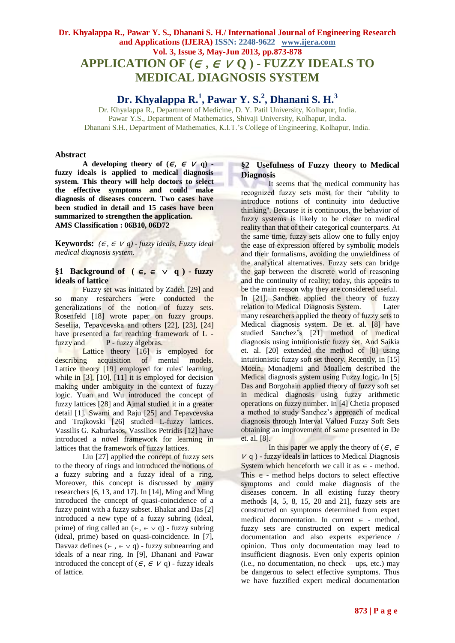# **APPLICATION OF**  $(\epsilon, \epsilon \vee Q)$  **- FUZZY IDEALS TO MEDICAL DIAGNOSIS SYSTEM**

## **Dr. Khyalappa R.<sup>1</sup> , Pawar Y. S.<sup>2</sup> , Dhanani S. H.<sup>3</sup>**

Dr. Khyalappa R., Department of Medicine, D. Y. Patil University, Kolhapur, India. Pawar Y.S., Department of Mathematics, Shivaji University, Kolhapur, India. Dhanani S.H., Department of Mathematics, K.I.T.'s College of Engineering, Kolhapur, India.

#### **Abstract**

**A** developing theory of  $(\epsilon, \epsilon \vee q)$  **fuzzy ideals is applied to medical diagnosis system. This theory will help doctors to select the effective symptoms and could make diagnosis of diseases concern. Two cases have been studied in detail and 15 cases have been summarized to strengthen the application. AMS Classification : 06B10, 06D72**

**Keywords:**  $(\epsilon, \epsilon \vee q)$  - *fuzzy ideals, Fuzzy ideal medical diagnosis system.*

## §1 Background of  $(\epsilon, \epsilon \vee q)$  - fuzzy **ideals of lattice**

Fuzzy set was initiated by Zadeh [29] and so many researchers were conducted the generalizations of the notion of fuzzy sets. Rosenfeld [18] wrote paper on fuzzy groups. Seselija, Tepavcevska and others [22], [23], [24] have presented a far reaching framework of L fuzzy and P - fuzzy algebras.

Lattice theory [16] is employed for describing acquisition of mental models. Lattice theory [19] employed for rules' learning, while in  $[3]$ ,  $[10]$ ,  $[11]$  it is employed for decision making under ambiguity in the context of fuzzy logic. Yuan and Wu introduced the concept of fuzzy lattices [28] and Ajmal studied it in a greater detail [1]. Swami and Raju [25] and Tepavcevska and Trajkovski [26] studied L-fuzzy lattices. Vassilis G. Kaburlasos, Vassilios Petridis [12] have introduced a novel framework for learning in lattices that the framework of fuzzy lattices.

Liu [27] applied the concept of fuzzy sets to the theory of rings and introduced the notions of a fuzzy subring and a fuzzy ideal of a ring. Moreover, this concept is discussed by many researchers [6, 13, and 17]. In [14], Ming and Ming introduced the concept of quasi-coincidence of a fuzzy point with a fuzzy subset. Bhakat and Das [2] introduced a new type of a fuzzy subring (ideal, prime) of ring called an  $(\epsilon, \epsilon \vee q)$  - fuzzy subring (ideal, prime) based on quasi-coincidence. In [7], Davvaz defines  $(\in, \in \vee q)$  - fuzzy subnearring and ideals of a near ring. In [9], Dhanani and Pawar introduced the concept of  $(\epsilon, \epsilon \vee q)$  - fuzzy ideals of lattice.

## **§2 Usefulness of Fuzzy theory to Medical Diagnosis**

It seems that the medical community has recognized fuzzy sets most for their "ability to introduce notions of continuity into deductive thinking''. Because it is continuous, the behavior of fuzzy systems is likely to be closer to medical reality than that of their categorical counterparts. At the same time, fuzzy sets allow one to fully enjoy the ease of expression offered by symbolic models and their formalisms, avoiding the unwieldiness of the analytical alternatives. Fuzzy sets can bridge the gap between the discrete world of reasoning and the continuity of reality; today, this appears to be the main reason why they are considered useful. In [21], Sanchez applied the theory of fuzzy relation to Medical Diagnosis System. Later many researchers applied the theory of fuzzy sets to Medical diagnosis system. De et. al. [8] have studied Sanchez's [21] method of medical diagnosis using intuitionistic fuzzy set. And Saikia et. al. [20] extended the method of [8] using intuitionistic fuzzy soft set theory. Recently, in [15] Moein, Monadjemi and Moallem described the Medical diagnosis system using Fuzzy logic. In [5] Das and Borgohain applied theory of fuzzy soft set in medical diagnosis using fuzzy arithmetic operations on fuzzy number. In [4] Chetia proposed a method to study Sanchez's approach of medical diagnosis through Interval Valued Fuzzy Soft Sets obtaining an improvement of same presented in De et. al. [8].

In this paper we apply the theory of  $(\epsilon, \epsilon)$  $V$  q) - fuzzy ideals in lattices to Medical Diagnosis System which henceforth we call it as  $\in$  - method. This  $\epsilon$  - method helps doctors to select effective symptoms and could make diagnosis of the diseases concern. In all existing fuzzy theory methods [4, 5, 8, 15, 20 and 21], fuzzy sets are constructed on symptoms determined from expert medical documentation. In current  $\in$  - method, fuzzy sets are constructed on expert medical documentation and also experts experience / opinion. Thus only documentation may lead to insufficient diagnosis. Even only experts opinion (i.e., no documentation, no check – ups, etc.) may be dangerous to select effective symptoms. Thus we have fuzzified expert medical documentation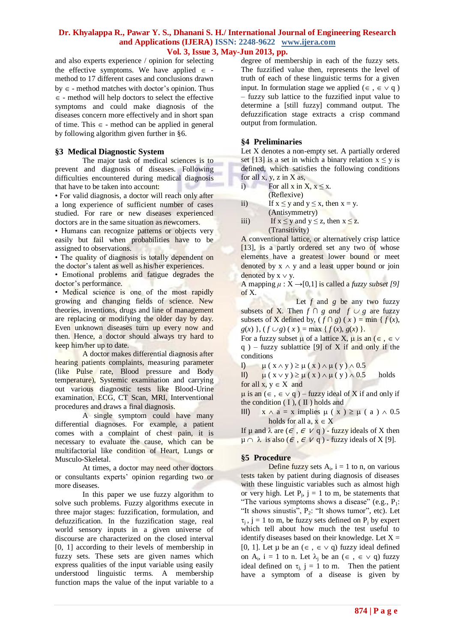and also experts experience / opinion for selecting the effective symptoms. We have applied  $\in$  method to 17 different cases and conclusions drawn  $by \in$  - method matches with doctor's opinion. Thus  $\epsilon$  - method will help doctors to select the effective symptoms and could make diagnosis of the diseases concern more effectively and in short span of time. This  $\epsilon$  - method can be applied in general by following algorithm given further in §6.

## **§3 Medical Diagnostic System**

The major task of medical sciences is to prevent and diagnosis of diseases. Following difficulties encountered during medical diagnosis that have to be taken into account:

• For valid diagnosis, a doctor will reach only after a long experience of sufficient number of cases studied. For rare or new diseases experienced doctors are in the same situation as newcomers.

• Humans can recognize patterns or objects very easily but fail when probabilities have to be assigned to observations.

• The quality of diagnosis is totally dependent on the doctor's talent as well as his/her experiences.

• Emotional problems and fatigue degrades the doctor's performance.

• Medical science is one of the most rapidly growing and changing fields of science. New theories, inventions, drugs and line of management are replacing or modifying the older day by day. Even unknown diseases turn up every now and then. Hence, a doctor should always try hard to keep him/her up to date.

A doctor makes differential diagnosis after hearing patients complaints, measuring parameter (like Pulse rate, Blood pressure and Body temperature), Systemic examination and carrying out various diagnostic tests like Blood-Urine examination, ECG, CT Scan, MRI, Interventional procedures and draws a final diagnosis.

A single symptom could have many differential diagnoses. For example, a patient comes with a complaint of chest pain, it is necessary to evaluate the cause, which can be multifactorial like condition of Heart, Lungs or Musculo-Skeletal.

At times, a doctor may need other doctors or consultants experts' opinion regarding two or more diseases.

In this paper we use fuzzy algorithm to solve such problems. Fuzzy algorithms execute in three major stages: fuzzification, formulation, and defuzzification. In the fuzzification stage, real world sensory inputs in a given universe of discourse are characterized on the closed interval [0, 1] according to their levels of membership in fuzzy sets. These sets are given names which express qualities of the input variable using easily understood linguistic terms. A membership function maps the value of the input variable to a degree of membership in each of the fuzzy sets. The fuzzified value then, represents the level of truth of each of these linguistic terms for a given input. In formulation stage we applied ( $\in$ ,  $\in \vee$  q) – fuzzy sub lattice to the fuzzified input value to determine a [still fuzzy] command output. The defuzzification stage extracts a crisp command output from formulation.

## **§4 Preliminaries**

Let X denotes a non-empty set. A partially ordered set [13] is a set in which a binary relation  $x \le y$  is defined, which satisfies the following conditions for all x, y, z in X as,

- i) For all x in X,  $x \le x$ . (Reflexive)
- ii) If  $x \le y$  and  $y \le x$ , then  $x = y$ . (Antisymmetry)
- iii) If  $x \le y$  and  $y \le z$ , then  $x \le z$ . (Transitivity)

A conventional lattice, or alternatively crisp lattice [13], is a partly ordered set any two of whose elements have a greatest lower bound or meet denoted by  $x \wedge y$  and a least upper bound or join denoted by  $x \vee y$ .

A mapping  $\mu$  :  $\dot{X} \rightarrow [0,1]$  is called a *fuzzy subset* [9] of X.

Let  $f$  and  $g$  be any two fuzzy subsets of X. Then  $f \cap g$  and  $f \cup g$  are fuzzy subsets of X defined by,  $(f \cap g)(x) = \min \{f(x),$  $g(x)$ ,  $(f \cup g)(x) = \max \{f(x), g(x)\}.$ 

For a fuzzy subset  $\mu$  of a lattice X,  $\mu$  is an ( $\epsilon$ ,  $\epsilon \vee$ q ) – fuzzy sublattice [9] of X if and only if the conditions

I)  $\mu$  (  $x \wedge y$  )  $\geq \mu$  (  $x$  )  $\wedge$   $\mu$  (  $y$  )  $\wedge$  0.5

II)  $\mu$  ( $x \vee y$ )  $\ge \mu$  ( $x$ )  $\wedge$   $\mu$  ( $y$ )  $\wedge$  0.5 holds for all  $x, y \in X$  and

 $\mu$  is an ( $\in$ ,  $\in$   $\vee$  q) – fuzzy ideal of X if and only if the condition  $(I)$ ,  $(II)$  holds and

III)  $x \wedge a = x$  implies  $\mu(x) \ge \mu(a) \wedge 0.5$ holds for all  $a, x \in X$ 

If  $\mu$  and  $\lambda$  are ( $\epsilon$ ,  $\epsilon$   $\vee$  q) - fuzzy ideals of X then  $\mu \cap \lambda$  is also ( $\epsilon$ ,  $\epsilon$   $V$  q) - fuzzy ideals of X [9].

## **§5 Procedure**

Define fuzzy sets  $A_i$ ,  $i = 1$  to n, on various tests taken by patient during diagnosis of diseases with these linguistic variables such as almost high or very high. Let  $P_j$ ,  $j = 1$  to m, be statements that "The various symptoms shows a disease" (e.g.,  $P_1$ : "It shows sinustis",  $P_2$ : "It shows tumor", etc). Let  $\tau_j$ ,  $j = 1$  to m, be fuzzy sets defined on  $P_j$  by expert which tell about how much the test useful to identify diseases based on their knowledge. Let  $X =$ [0, 1]. Let  $\mu$  be an  $(\epsilon, \epsilon \vee q)$  fuzzy ideal defined on A<sub>i</sub>,  $i = 1$  to n. Let  $\lambda_j$  be an  $(\epsilon, \epsilon \vee q)$  fuzzy ideal defined on  $\tau_{i}$ , j = 1 to m. Then the patient have a symptom of a disease is given by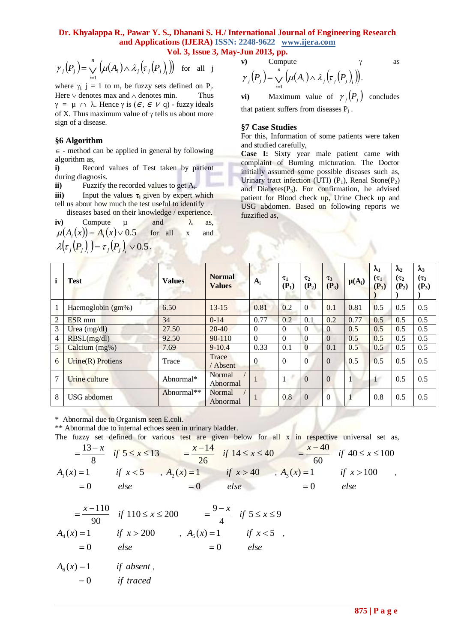## **Dr. Khyalappa R., Pawar Y. S., Dhanani S. H./ International Journal of Engineering Research and Applications (IJERA) ISSN: 2248-9622 www.ijera.com**

**Vol. 3, Issue 3, May-Jun 2013, pp.**

$$
\gamma_j(P_j) = \bigvee_{i=1}^n \left( \mu(A_i) \wedge \lambda_j(\tau_j(P_j)) \right) \text{ for all } j
$$

#### **§6 Algorithm**

v) Compute 
$$
\gamma
$$
 as  
\n
$$
\gamma_j(P_j) = \bigvee_{i=1}^n (\mu(A_i) \wedge \lambda_j(\tau_j(P_j))_i).
$$

#### **§7 Case Studies**

| $\gamma_j(P_j) = \bigvee_{i=1} \left( \mu(A_i) \wedge \lambda_j(\tau_j(P_j)) \right)$ for all j<br>$\gamma_j(P_j) = \bigvee_{i=1}^n \left( \mu(A_i) \wedge \lambda_j(\tau_j(P_j)) \right).$<br>where $\gamma_i$ , j = 1 to m, be fuzzy sets defined on P <sub>i</sub> .<br>Maximum value of $\gamma_i(P_i)$ concludes<br>Here $\vee$ denotes max and $\wedge$ denotes min.<br>Thus<br>vi)<br>$\gamma = \mu \cap \lambda$ . Hence $\gamma$ is $(\epsilon, \epsilon \vee q)$ - fuzzy ideals<br>that patient suffers from diseases $P_i$ .<br>of X. Thus maximum value of $\gamma$ tells us about more<br>sign of a disease.<br>§7 Case Studies<br>For this, Information of some patients were taken<br>§6 Algorithm<br>and studied carefully,<br>$\epsilon$ - method can be applied in general by following<br>Case I: Sixty year male patient came with<br>algorithm as,<br>complaint of Burning micturation. The Doctor<br>Record values of Test taken by patient<br>i)<br>initially assumed some possible diseases such as,<br>during diagnosis.<br>Urinary tract infection (UTI) $(P_1)$ , Renal Stone $(P_2)$<br>Fuzzify the recorded values to get $A_i$ .<br>ii)<br>and Diabetes $(P_3)$ . For confirmation, he advised<br>iii)<br>Input the values $\tau_i$ given by expert which<br>patient for Blood check up, Urine Check up and<br>tell us about how much the test useful to identify<br>USG abdomen. Based on following reports we<br>diseases based on their knowledge / experience.<br>fuzzified as,<br>and<br>Compute<br>iv)<br>λ<br>$\mu$<br>as,<br>$\mu(A_i(x)) = A_i(x) \vee 0.5$ for all x<br>and<br>$\lambda(\tau_i(P_i)) = \tau_i(P_i) \vee 0.5$ . |                      |               |                                |                |                     |                     |                     |              |                       |                       |                       |
|------------------------------------------------------------------------------------------------------------------------------------------------------------------------------------------------------------------------------------------------------------------------------------------------------------------------------------------------------------------------------------------------------------------------------------------------------------------------------------------------------------------------------------------------------------------------------------------------------------------------------------------------------------------------------------------------------------------------------------------------------------------------------------------------------------------------------------------------------------------------------------------------------------------------------------------------------------------------------------------------------------------------------------------------------------------------------------------------------------------------------------------------------------------------------------------------------------------------------------------------------------------------------------------------------------------------------------------------------------------------------------------------------------------------------------------------------------------------------------------------------------------------------------------------------------------------------------------------------------------------------------------------------------------------|----------------------|---------------|--------------------------------|----------------|---------------------|---------------------|---------------------|--------------|-----------------------|-----------------------|-----------------------|
|                                                                                                                                                                                                                                                                                                                                                                                                                                                                                                                                                                                                                                                                                                                                                                                                                                                                                                                                                                                                                                                                                                                                                                                                                                                                                                                                                                                                                                                                                                                                                                                                                                                                        |                      |               |                                |                |                     |                     |                     |              | $\lambda_1$           | $\lambda_2$           | $\lambda_3$           |
| i                                                                                                                                                                                                                                                                                                                                                                                                                                                                                                                                                                                                                                                                                                                                                                                                                                                                                                                                                                                                                                                                                                                                                                                                                                                                                                                                                                                                                                                                                                                                                                                                                                                                      | <b>Test</b>          | <b>Values</b> | <b>Normal</b><br><b>Values</b> | $A_i$          | $\tau_1$<br>$(P_1)$ | $\tau_2$<br>$(P_2)$ | $\tau_3$<br>$(P_3)$ | $\mu(A_i)$   | $(\tau_1)$<br>$(P_1)$ | $(\tau_2)$<br>$(P_2)$ | $(\tau_3)$<br>$(P_3)$ |
| 1                                                                                                                                                                                                                                                                                                                                                                                                                                                                                                                                                                                                                                                                                                                                                                                                                                                                                                                                                                                                                                                                                                                                                                                                                                                                                                                                                                                                                                                                                                                                                                                                                                                                      | Haemoglobin (gm%)    | 6.50          | $13 - 15$                      | 0.81           | 0.2                 | $\overline{0}$      | 0.1                 | 0.81         | 0.5                   | 0.5                   | 0.5                   |
| $\overline{2}$                                                                                                                                                                                                                                                                                                                                                                                                                                                                                                                                                                                                                                                                                                                                                                                                                                                                                                                                                                                                                                                                                                                                                                                                                                                                                                                                                                                                                                                                                                                                                                                                                                                         | ESR <sub>mm</sub>    | 34            | $0 - 14$                       | 0.77           | 0.2                 | 0.1                 | 0.2                 | 0.77         | 0.5                   | 0.5                   | 0.5                   |
| 3                                                                                                                                                                                                                                                                                                                                                                                                                                                                                                                                                                                                                                                                                                                                                                                                                                                                                                                                                                                                                                                                                                                                                                                                                                                                                                                                                                                                                                                                                                                                                                                                                                                                      | Urea (mg/dl)         | 27.50         | $20 - 40$                      | $\Omega$       | $\boldsymbol{0}$    | $\theta$            | $\overline{0}$      | 0.5          | 0.5                   | 0.5                   | 0.5                   |
| 4                                                                                                                                                                                                                                                                                                                                                                                                                                                                                                                                                                                                                                                                                                                                                                                                                                                                                                                                                                                                                                                                                                                                                                                                                                                                                                                                                                                                                                                                                                                                                                                                                                                                      | RBSL(mg/dl)          | 92.50         | 90-110                         | $\overline{0}$ | $\overline{0}$      | $\overline{0}$      | $\mathbf{0}$        | 0.5          | 0.5                   | 0.5                   | 0.5                   |
| 5                                                                                                                                                                                                                                                                                                                                                                                                                                                                                                                                                                                                                                                                                                                                                                                                                                                                                                                                                                                                                                                                                                                                                                                                                                                                                                                                                                                                                                                                                                                                                                                                                                                                      | Calcium (mg%)        | 7.69          | $9 - 10.4$                     | 0.33           | 0.1                 | $\mathbf{0}$        | 0.1                 | 0.5          | 0.5                   | 0.5                   | 0.5                   |
| 6                                                                                                                                                                                                                                                                                                                                                                                                                                                                                                                                                                                                                                                                                                                                                                                                                                                                                                                                                                                                                                                                                                                                                                                                                                                                                                                                                                                                                                                                                                                                                                                                                                                                      | Urine $(R)$ Protiens | Trace         | Trace<br>/ Absent              | $\mathbf{0}$   | $\boldsymbol{0}$    | $\Omega$            | $\overline{0}$      | 0.5          | 0.5                   | 0.5                   | 0.5                   |
| 7                                                                                                                                                                                                                                                                                                                                                                                                                                                                                                                                                                                                                                                                                                                                                                                                                                                                                                                                                                                                                                                                                                                                                                                                                                                                                                                                                                                                                                                                                                                                                                                                                                                                      | <b>Urine</b> culture | Abnormal*     | Normal<br>Abnormal             | $\mathbf{1}$   | $\mathbf{1}$        | $\overline{0}$      | $\mathbf{0}$        | $\mathbf{1}$ | 1 <sup>1</sup>        | 0.5                   | 0.5                   |
| 8                                                                                                                                                                                                                                                                                                                                                                                                                                                                                                                                                                                                                                                                                                                                                                                                                                                                                                                                                                                                                                                                                                                                                                                                                                                                                                                                                                                                                                                                                                                                                                                                                                                                      | <b>USG</b> abdomen   | Abnormal**    | Normal<br>Abnormal             | 1              | 0.8                 | $\overline{0}$      | $\overline{0}$      | $\mathbf{1}$ | 0.8                   | 0.5                   | 0.5                   |
| * Abnormal due to Organism seen E.coli.<br>** Abnormal due to internal echoes seen in urinary bladder.<br>The fuzzy set defined for various test are given below for all x in respective universal set as,<br>$A_1(x) = 1$ if $x < 5$ and $A_2(x) = 1$ if $x > 40$ and $A_3(x) = 1$ if $x > 100$<br>$B_4(x) = 1$ if $x < 5$ and $A_2(x) = 1$ if $x > 40$ and $A_3(x) = 1$ if $x > 100$<br>$= 0$ else and $= 0$ else and $= 0$ else<br>$=\frac{x-110}{90}$ if $110 \le x \le 200$ $=\frac{9-x}{4}$ if $5 \le x \le 9$<br>$A_4(x) = 1$ if $x > 200$ , $A_5(x) = 1$ if $x < 5$ ,<br>$= 0$ else $= 0$ else<br>$A6(x) = 1$ if absent,<br>$= 0$ if traced                                                                                                                                                                                                                                                                                                                                                                                                                                                                                                                                                                                                                                                                                                                                                                                                                                                                                                                                                                                                                    |                      |               |                                |                |                     |                     |                     |              |                       |                       |                       |
|                                                                                                                                                                                                                                                                                                                                                                                                                                                                                                                                                                                                                                                                                                                                                                                                                                                                                                                                                                                                                                                                                                                                                                                                                                                                                                                                                                                                                                                                                                                                                                                                                                                                        |                      |               |                                |                |                     |                     |                     |              | $875$   P a g e       |                       |                       |

$$
= \frac{13 - x}{8} \quad \text{if } 5 \le x \le 13 \quad = \frac{x - 14}{26} \quad \text{if } 14 \le x \le 40 \quad = \frac{x - 40}{60} \quad \text{if } 40 \le x \le 100
$$
\n
$$
A_1(x) = 1 \quad \text{if } x < 5 \quad A_2(x) = 1 \quad \text{if } x > 40 \quad A_3(x) = 1 \quad \text{if } x > 100 \quad \text{else}
$$
\n
$$
= 0 \quad \text{else} \quad = 0 \quad \text{else} \quad = 0 \quad \text{else}
$$

$$
= \frac{x-110}{90} \quad \text{if } 110 \le x \le 200 \qquad = \frac{9-x}{4} \quad \text{if } 5 \le x \le 9
$$
\n
$$
A_4(x) = 1 \qquad \text{if } x > 200 \qquad , A_5(x) = 1 \qquad \text{if } x < 5 \qquad ,
$$
\n
$$
= 0 \qquad \text{else} \qquad = 0 \qquad \text{else}
$$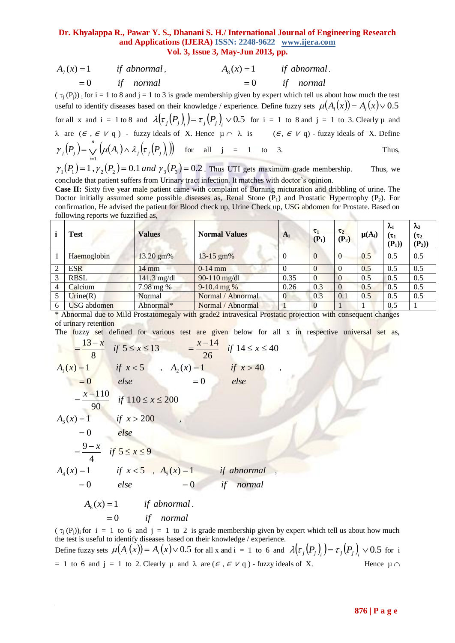| $A_7(x) = 1$ | if abnormal, | $A_{8}(x) = 1$ | if abnormal. |
|--------------|--------------|----------------|--------------|
| $=$ ()       | if normal    | $=$ ()         | if normal    |

 $(\tau_j(P_j))$  i for i = 1 to 8 and j = 1 to 3 is grade membership given by expert which tell us about how much the test useful to identify diseases based on their knowledge / experience. Define fuzzy sets  $\mu(A_i(x)) = A_i(x) \vee 0.5$ for all x and  $i = 1$  to 8 and  $\lambda(\tau_j(P_j)) = \tau_j(P_j)$   $\vee$  0.5 for  $i = 1$  to 8 and  $j = 1$  to 3. Clearly  $\mu$  and  $\lambda$  are ( $\epsilon$ ,  $\epsilon$   $\vee$  q) - fuzzy ideals of X. Hence  $\mu \cap \lambda$  is ( $\epsilon$ ,  $\epsilon$   $\vee$  q) - fuzzy ideals of X. Define  $(P_j) = \bigvee \left( \mu(A_i) \wedge \lambda_j(\tau_j(P_j)) \right)$ *n*  $\gamma_j(P_j) = \bigvee_{i=1}^j \left( \mu(A_i) \wedge \lambda_j(\tau_j) \right) P_j$ for all  $j = 1$  to 3. Thus,  $\gamma_1(P_1) = 1$ ,  $\gamma_2(P_2) = 0.1$  *and*  $\gamma_3(P_3) = 0.2$ . Thus UTI gets maximum grade membership. Thus, we

conclude that patient suffers from Urinary tract infection. It matches with doctor's opinion.

**Case II:** Sixty five year male patient came with complaint of Burning micturation and dribbling of urine. The Doctor initially assumed some possible diseases as, Renal Stone  $(P_1)$  and Prostatic Hypertrophy  $(P_2)$ . For confirmation, He advised the patient for Blood check up, Urine Check up, USG abdomen for Prostate. Based on following reports we fuzzified as,

|   | <b>Test</b>        | <b>Values</b> | <b>Normal Values</b> | $A_i$          | $\tau_1$<br>$(P_1)$ | $\tau_2$<br>$(P_2)$ | $\mu(A_i)$ | $\lambda_1$<br>$(\tau_1$<br>$(P_1)$ | $\lambda_2$<br>$(\tau_2)$<br>$(P_2)$ |
|---|--------------------|---------------|----------------------|----------------|---------------------|---------------------|------------|-------------------------------------|--------------------------------------|
|   | Haemoglobin        | 13.20 gm%     | $13 - 15$ gm%        | $\theta$       | $\Omega$            | $\Omega$            | 0.5        | 0.5                                 | 0.5                                  |
| 2 | <b>ESR</b>         | 14 mm         | $0-14$ mm            |                | 0                   |                     | 0.5        | 0.5                                 | 0.5                                  |
| 3 | <b>RBSL</b>        | $141.3$ mg/dl | 90-110 $mg/dl$       | 0.35           | 0                   | -0                  | 0.5        | 0.5                                 | 0.5                                  |
| 4 | Calcium            | 7.98 mg %     | $9-10.4$ mg %        | 0.26           | 0.3                 | $\overline{0}$      | 0.5        | 0.5                                 | 0.5                                  |
|   | $U$ rine $(R)$     | Normal        | Normal / Abnormal    | $\overline{0}$ | 0.3                 | 0.1                 | 0.5        | 0.5                                 | 0.5                                  |
| 6 | <b>USG</b> abdomen | Abnormal*     | Normal / Abnormal    |                |                     |                     |            | 0.5                                 |                                      |

\* Abnormal due to Mild Prostatomegaly with grade2 intravesical Prostatic projection with consequent changes of urinary retention

The fuzzy set defined for various test are given below for all x in respective universal set as,

$$
\begin{aligned}\n&= \frac{13 - x}{8} &\text{if } 5 \le x \le 13 = \frac{x - 14}{26} &\text{if } 14 \le x \le 40 \\
A_1(x) &= 1 &\text{if } x < 5, A_2(x) = 1 &\text{if } x > 40 \\
&= 0 &\text{else} &= 0 &\text{else} \\
&= \frac{x - 110}{90} &\text{if } 110 \le x \le 200 \\
A_3(x) &= 1 &\text{if } x > 200 \\
&= 0 &\text{else} \\
&= \frac{9 - x}{4} &\text{if } 5 \le x \le 9 \\
A_4(x) &= 1 &\text{if } x < 5, A_5(x) = 1 &\text{if } \text{abnormal} \\
&= 0 &\text{else} &= 0 &\text{if } \text{normal} \\
A_6(x) &= 1 &\text{if } \text{abnormal}.\n\end{aligned}
$$

*if normal*  $=0$ 

 $(\tau_i(P_i))_i$  for  $i = 1$  to 6 and  $j = 1$  to 2 is grade membership given by expert which tell us about how much the test is useful to identify diseases based on their knowledge / experience. Define fuzzy sets  $\mu(A_i(x)) = A_i(x) \vee 0.5$  for all x and i = 1 to 6 and  $\lambda(\tau_j(P_j)_i) = \tau_j(P_j)_i \vee 0.5$  for i = 1 to 6 and j = 1 to 2. Clearly  $\mu$  and  $\lambda$  are ( $\epsilon$ ,  $\epsilon$   $\nu$  q) - fuzzy ideals of X. Hence  $\mu \cap$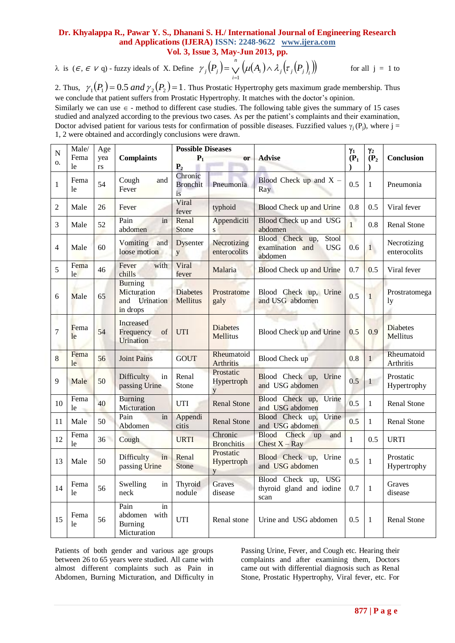$\lambda$  is ( $\epsilon$ *,*  $\epsilon$   $\vee$  q) - fuzzy ideals of X. Define  $\gamma_j(P_j) = \bigvee \left( \mu(A_i) \wedge \lambda_j(\tau_j(P_j)) \right)$ *n*  $\gamma_j(P_j) = \bigvee_{i=1}^j \left( \mu(A_i) \wedge \lambda_j(\tau_j) \right)$ for all  $j = 1$  to

2. Thus,  $\gamma_1(P_1) = 0.5$  *and*  $\gamma_2(P_2) = 1$ . Thus Prostatic Hypertrophy gets maximum grade membership. Thus we conclude that patient suffers from Prostatic Hypertrophy. It matches with the doctor's opinion.

Similarly we can use  $\epsilon$  - method to different case studies. The following table gives the summary of 15 cases studied and analyzed according to the previous two cases. As per the patient's complaints and their examination, Doctor advised patient for various tests for confirmation of possible diseases. Fuzzified values  $\gamma_i(P_i)$ , where j = 1, 2 were obtained and accordingly conclusions were drawn.

| N              | Male/<br>Age |           |                                                                      | <b>Possible Diseases</b>             |                                    |                                                                      | $\gamma_1$   | Υ2           |                             |  |
|----------------|--------------|-----------|----------------------------------------------------------------------|--------------------------------------|------------------------------------|----------------------------------------------------------------------|--------------|--------------|-----------------------------|--|
| 0.             | Fema<br>le   | yea<br>rs | <b>Complaints</b>                                                    | $P_1$<br><b>or</b><br>P <sub>2</sub> |                                    | <b>Advise</b>                                                        | $(P_1)$<br>ſ | $(P_2)$      | Conclusion                  |  |
| $\mathbf{1}$   | Fema<br>le   | 54        | Cough<br>and<br>Fever                                                | Chronic<br><b>Bronchit</b><br>is     | Pneumonia                          | Blood Check up and $X -$<br>Ray                                      | 0.5          | 1            | Pneumonia                   |  |
| $\overline{c}$ | Male         | 26        | Fever                                                                | Viral<br>fever                       | typhoid                            | Blood Check up and Urine                                             | 0.8          | 0.5          | Viral fever                 |  |
| 3              | Male         | 52        | Pain<br>in<br>abdomen                                                | Renal<br>Stone                       | Appendiciti<br>S                   | Blood Check up and USG<br>abdomen                                    | $\mathbf{1}$ | 0.8          | Renal Stone                 |  |
| 4              | Male         | 60        | and<br>Vomiting<br>loose motion                                      | <b>Dysenter</b><br>y                 | Necrotizing<br>enterocolits        | Blood Check up,<br>Stool<br>examination and<br><b>USG</b><br>abdomen | 0.6          | 1            | Necrotizing<br>enterocolits |  |
| 5              | Fema<br>le   | 46        | Fever<br>with<br>chills                                              | Viral<br>fever                       | Malaria                            | <b>Blood Check up and Urine</b>                                      | 0.7          | 0.5          | Viral fever                 |  |
| 6              | Male         | 65        | <b>Burning</b><br>Micturation<br><b>Urination</b><br>and<br>in drops | <b>Diabetes</b><br><b>Mellitus</b>   | Prostratome<br>galy                | Blood Check up, Urine<br>and USG abdomen                             | 0.5          | $\mathbf{1}$ | Prostratomega<br>1y         |  |
| $\overline{7}$ | Fema<br>le   | 54        | Increased<br>Frequency<br>of<br><b>Urination</b>                     | UTI                                  | <b>Diabetes</b><br><b>Mellitus</b> | Blood Check up and Urine                                             | 0.5          | 0.9          | <b>Diabetes</b><br>Mellitus |  |
| 8              | Fema<br>le   | 56        | <b>Joint Pains</b>                                                   | <b>GOUT</b>                          | Rheumatoid<br><b>Arthritis</b>     | <b>Blood Check up</b>                                                | 0.8          | 1            | Rheumatoid<br>Arthritis     |  |
| 9              | Male         | 50        | Difficulty<br>in<br>passing Urine                                    | Renal<br>Stone                       | Prostatic<br>Hypertroph<br>V       | Blood Check up, Urine<br>and USG abdomen                             | 0.5          | $\mathbf{1}$ | Prostatic<br>Hypertrophy    |  |
| 10             | Fema<br>le   | 40        | <b>Burning</b><br>Micturation                                        | UTI                                  | <b>Renal Stone</b>                 | Blood Check up,<br>Urine<br>and USG abdomen                          | 0.5          | $\mathbf{1}$ | Renal Stone                 |  |
| 11             | Male         | 50        | Pain<br>in<br>Abdomen                                                | Appendi<br>citis                     | <b>Renal Stone</b>                 | Blood Check up,<br>Urine<br>and USG abdomen                          | 0.5          | $\mathbf{1}$ | <b>Renal Stone</b>          |  |
| 12             | Fema<br>le   | 36        | Cough                                                                | <b>URTI</b>                          | Chronic<br><b>Bronchitis</b>       | <b>Blood</b><br>Check<br>up<br>and<br>Chest $X - Ray$                | $\mathbf{1}$ | 0.5          | <b>URTI</b>                 |  |
| 13             | Male         | 50        | in<br>Difficulty<br>passing Urine                                    | Renal<br><b>Stone</b>                | Prostatic<br>Hypertroph<br>y       | Blood Check up, Urine<br>and USG abdomen                             | 0.5          | 1            | Prostatic<br>Hypertrophy    |  |
| 14             | Fema<br>le   | 56        | Swelling<br>in<br>neck                                               | Thyroid<br>nodule                    | Graves<br>disease                  | Blood Check up,<br><b>USG</b><br>thyroid gland and iodine<br>scan    | 0.7          | $\mathbf{1}$ | Graves<br>disease           |  |
| 15             | Fema<br>le   | 56        | Pain<br>in<br>abdomen with<br>Burning<br>Micturation                 | <b>UTI</b>                           | Renal stone                        | Urine and USG abdomen                                                | 0.5          | 1            | Renal Stone                 |  |

Patients of both gender and various age groups between 26 to 65 years were studied. All came with almost different complaints such as Pain in Abdomen, Burning Micturation, and Difficulty in Passing Urine, Fever, and Cough etc. Hearing their complaints and after examining them, Doctors came out with differential diagnosis such as Renal Stone, Prostatic Hypertrophy, Viral fever, etc. For